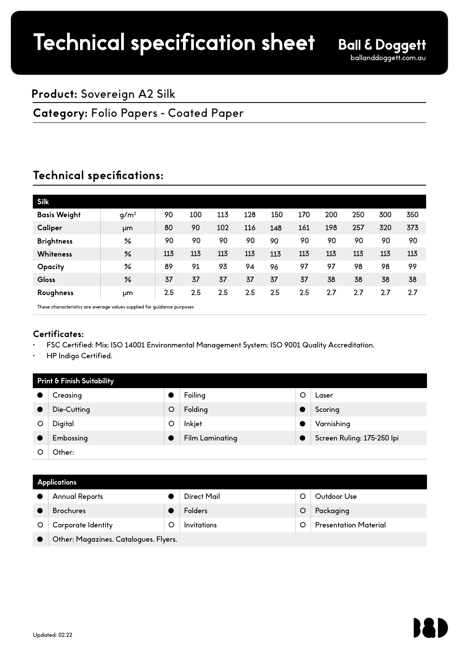## **Product:** Sovereign A2 Silk

## **Category:** Folio Papers - Coated Paper

# **Technical specifications:**

| <b>Silk</b>         |                  |         |     |     |     |     |     |     |     |     |     |
|---------------------|------------------|---------|-----|-----|-----|-----|-----|-----|-----|-----|-----|
| <b>Basis Weight</b> | g/m <sup>2</sup> | 90      | 100 | 113 | 128 | 150 | 170 | 200 | 250 | 300 | 350 |
| Caliper             | μm               | 80      | 90  | 102 | 116 | 148 | 161 | 198 | 257 | 320 | 373 |
| <b>Brightness</b>   | ℅                | 90      | 90  | 90  | 90  | 90  | 90  | 90  | 90  | 90  | 90  |
| Whiteness           | %                | 113     | 113 | 113 | 113 | 113 | 113 | 113 | 113 | 113 | 113 |
| <b>Opacity</b>      | ℅                | 89      | 91  | 93  | 94  | 96  | 97  | 97  | 98  | 98  | 99  |
| Gloss               | %                | 37      | 37  | 37  | 37  | 37  | 37  | 38  | 38  | 38  | 38  |
| Roughness           | μm               | $2.5\,$ | 2.5 | 2.5 | 2.5 | 2.5 | 2.5 | 2.7 | 2.7 | 2.7 | 2.7 |

These characteristics are average values supplied for guidance purposes

## **Certificates:**

- FSC Certified: Mix; ISO 14001 Environmental Management System; ISO 9001 Quality Accreditation.
- HP Indigo Certified.

| Print & Finish Suitability |             |   |                        |  |                            |  |
|----------------------------|-------------|---|------------------------|--|----------------------------|--|
|                            | Creasing    |   | Foiling                |  | Laser                      |  |
|                            | Die-Cutting | O | Folding                |  | Scoring                    |  |
|                            | Digital     | O | Inkjet                 |  | Varnishing                 |  |
|                            | Embossing   |   | <b>Film Laminating</b> |  | Screen Ruling: 175-250 Ipi |  |
|                            | Other:      |   |                        |  |                            |  |

### **Applications**

| <b>Annual Reports</b>                 |   | Direct Mail |  | Outdoor Use                  |  |  |
|---------------------------------------|---|-------------|--|------------------------------|--|--|
| <b>Brochures</b>                      |   | Folders     |  | Packaging                    |  |  |
| Corporate Identity                    | O | Invitations |  | <b>Presentation Material</b> |  |  |
| Other: Magazines, Catalogues, Flyers. |   |             |  |                              |  |  |